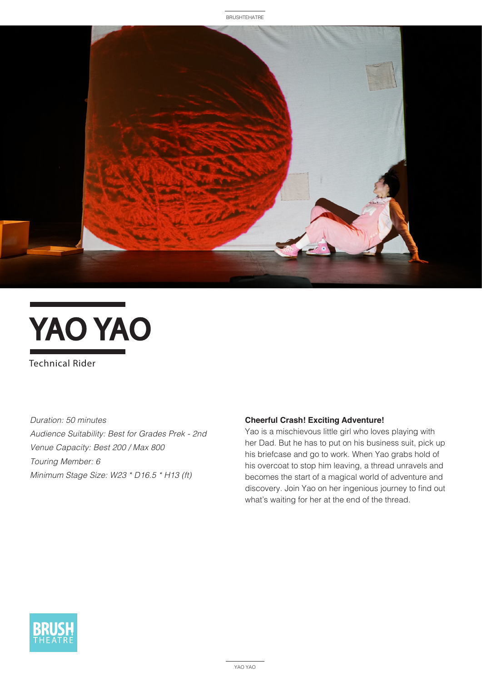



Technical Rider

*Duration: 50 minutes Audience Suitability: Best for Grades Prek - 2nd Venue Capacity: Best 200 / Max 800 Touring Member: 6 Minimum Stage Size: W23 \* D16.5 \* H13 (ft)*

#### **Cheerful Crash! Exciting Adventure!**

Yao is a mischievous little girl who loves playing with her Dad. But he has to put on his business suit, pick up his briefcase and go to work. When Yao grabs hold of his overcoat to stop him leaving, a thread unravels and becomes the start of a magical world of adventure and discovery. Join Yao on her ingenious journey to find out what's waiting for her at the end of the thread.

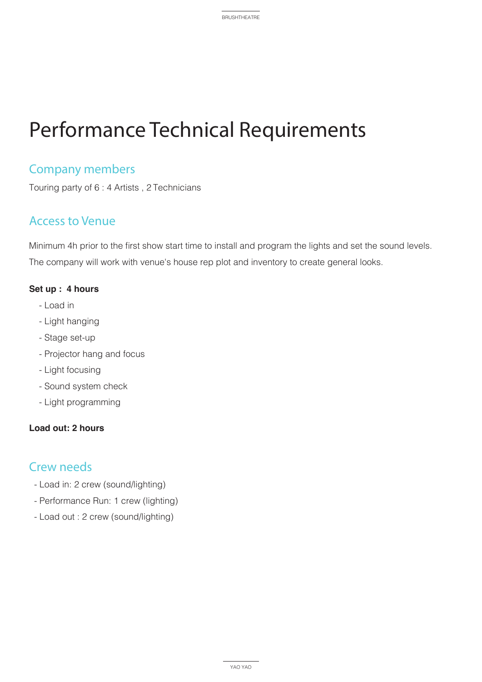# Performance Technical Requirements

## Company members

Touring party of 6 : 4 Artists , 2 Technicians

## Access to Venue

Minimum 4h prior to the first show start time to install and program the lights and set the sound levels. The company will work with venue's house rep plot and inventory to create general looks.

#### **Set up : 4 hours**

- Load in
- Light hanging
- Stage set-up
- Projector hang and focus
- Light focusing
- Sound system check
- Light programming

#### **Load out: 2 hours**

### Crew needs

- Load in: 2 crew (sound/lighting)
- Performance Run: 1 crew (lighting)
- Load out : 2 crew (sound/lighting)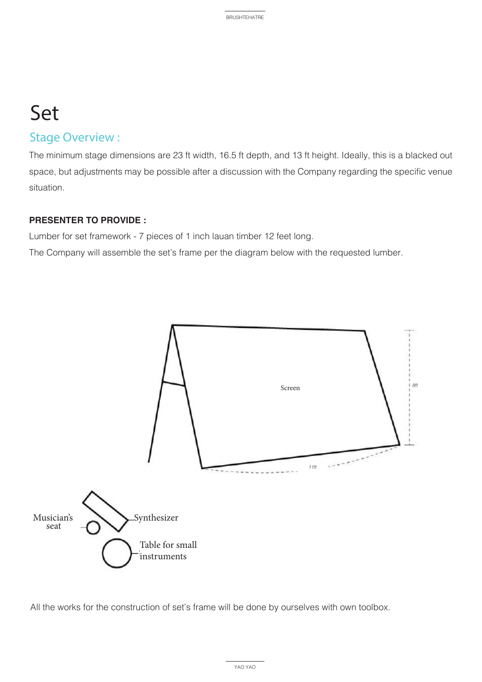# Set

### Stage Overview :

The minimum stage dimensions are 23 ft width, 16.5 ft depth, and 13 ft height. Ideally, this is a blacked out space, but adjustments may be possible after a discussion with the Company regarding the specific venue situation.

#### **PRESENTER TO PROVIDE :**

Lumber for set framework - 7 pieces of 1 inch lauan timber 12 feet long.

The Company will assemble the set's frame per the diagram below with the requested lumber.



All the works for the construction of set's frame will be done by ourselves with own toolbox.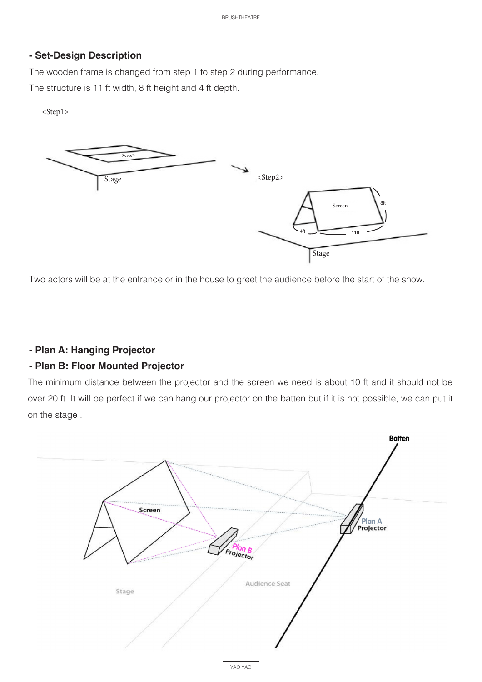#### **- Set-Design Description**

The wooden frame is changed from step 1 to step 2 during performance. The structure is 11 ft width, 8 ft height and 4 ft depth.

<Step1>



Two actors will be at the entrance or in the house to greet the audience before the start of the show.

#### **- Plan A: Hanging Projector**

#### **- Plan B: Floor Mounted Projector**

The minimum distance between the projector and the screen we need is about 10 ft and it should not be over 20 ft. It will be perfect if we can hang our projector on the batten but if it is not possible, we can put it on the stage .

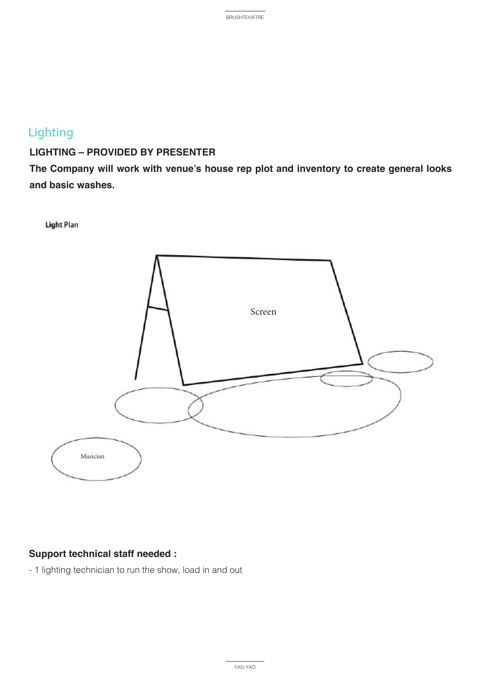# Lighting

### **LIGHTING – PROVIDED BY PRESENTER**

**The Company will work with venue's house rep plot and inventory to create general looks and basic washes.**

**Light Plan** 



#### **Support technical staff needed :**

- 1 lighting technician to run the show, load in and out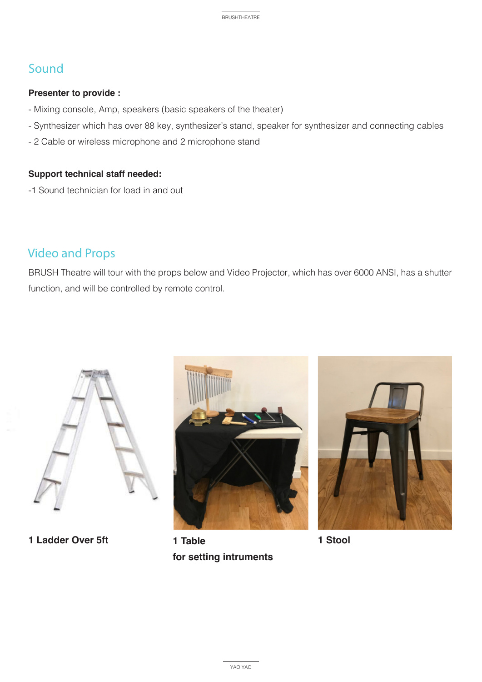## Sound

#### **Presenter to provide :**

- Mixing console, Amp, speakers (basic speakers of the theater)
- Synthesizer which has over 88 key, synthesizer's stand, speaker for synthesizer and connecting cables
- 2 Cable or wireless microphone and 2 microphone stand

#### **Support technical staff needed:**

-1 Sound technician for load in and out

## Video and Props

BRUSH Theatre will tour with the props below and Video Projector, which has over 6000 ANSI, has a shutter function, and will be controlled by remote control.



**1 Ladder Over 5ft 1 Table** 



**for setting intruments** 



**1 Stool**